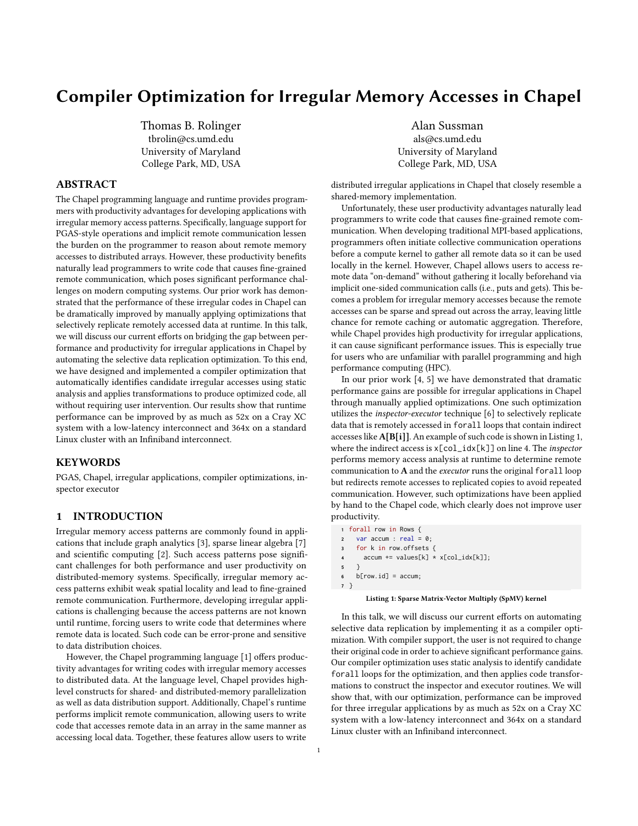# Compiler Optimization for Irregular Memory Accesses in Chapel

Thomas B. Rolinger tbrolin@cs.umd.edu University of Maryland College Park, MD, USA

### ABSTRACT

The Chapel programming language and runtime provides programmers with productivity advantages for developing applications with irregular memory access patterns. Specifically, language support for PGAS-style operations and implicit remote communication lessen the burden on the programmer to reason about remote memory accesses to distributed arrays. However, these productivity benefits naturally lead programmers to write code that causes fine-grained remote communication, which poses significant performance challenges on modern computing systems. Our prior work has demonstrated that the performance of these irregular codes in Chapel can be dramatically improved by manually applying optimizations that selectively replicate remotely accessed data at runtime. In this talk, we will discuss our current efforts on bridging the gap between performance and productivity for irregular applications in Chapel by automating the selective data replication optimization. To this end, we have designed and implemented a compiler optimization that automatically identifies candidate irregular accesses using static analysis and applies transformations to produce optimized code, all without requiring user intervention. Our results show that runtime performance can be improved by as much as 52x on a Cray XC system with a low-latency interconnect and 364x on a standard Linux cluster with an Infiniband interconnect.

#### **KEYWORDS**

PGAS, Chapel, irregular applications, compiler optimizations, inspector executor

## 1 INTRODUCTION

Irregular memory access patterns are commonly found in applications that include graph analytics [\[3\]](#page-2-0), sparse linear algebra [\[7\]](#page-2-1) and scientific computing [\[2\]](#page-2-2). Such access patterns pose significant challenges for both performance and user productivity on distributed-memory systems. Specifically, irregular memory access patterns exhibit weak spatial locality and lead to fine-grained remote communication. Furthermore, developing irregular applications is challenging because the access patterns are not known until runtime, forcing users to write code that determines where remote data is located. Such code can be error-prone and sensitive to data distribution choices.

However, the Chapel programming language [\[1\]](#page-2-3) offers productivity advantages for writing codes with irregular memory accesses to distributed data. At the language level, Chapel provides highlevel constructs for shared- and distributed-memory parallelization as well as data distribution support. Additionally, Chapel's runtime performs implicit remote communication, allowing users to write code that accesses remote data in an array in the same manner as accessing local data. Together, these features allow users to write

Alan Sussman als@cs.umd.edu University of Maryland College Park, MD, USA

distributed irregular applications in Chapel that closely resemble a shared-memory implementation.

Unfortunately, these user productivity advantages naturally lead programmers to write code that causes fine-grained remote communication. When developing traditional MPI-based applications, programmers often initiate collective communication operations before a compute kernel to gather all remote data so it can be used locally in the kernel. However, Chapel allows users to access remote data "on-demand" without gathering it locally beforehand via implicit one-sided communication calls (i.e., puts and gets). This becomes a problem for irregular memory accesses because the remote accesses can be sparse and spread out across the array, leaving little chance for remote caching or automatic aggregation. Therefore, while Chapel provides high productivity for irregular applications, it can cause significant performance issues. This is especially true for users who are unfamiliar with parallel programming and high performance computing (HPC).

In our prior work [\[4,](#page-2-4) [5\]](#page-2-5) we have demonstrated that dramatic performance gains are possible for irregular applications in Chapel through manually applied optimizations. One such optimization utilizes the inspector-executor technique [\[6\]](#page-2-6) to selectively replicate data that is remotely accessed in forall loops that contain indirect accesses like A[B[i]]. An example of such code is shown in Listing [1,](#page-0-0) where the indirect access is  $x[col_idx[k]]$  on line 4. The *inspector* performs memory access analysis at runtime to determine remote communication to A and the executor runs the original forall loop but redirects remote accesses to replicated copies to avoid repeated communication. However, such optimizations have been applied by hand to the Chapel code, which clearly does not improve user productivity.

```
1 forall row in Rows {
   2 var accum : real = 0;
3 for k in row.offsets {
4 accum += values[k] * x[col_idx[k]];
5 }
6 b[row.id] = \text{accum};
7 }
```
#### Listing 1: Sparse Matrix-Vector Multiply (SpMV) kernel

In this talk, we will discuss our current efforts on automating selective data replication by implementing it as a compiler optimization. With compiler support, the user is not required to change their original code in order to achieve significant performance gains. Our compiler optimization uses static analysis to identify candidate forall loops for the optimization, and then applies code transformations to construct the inspector and executor routines. We will show that, with our optimization, performance can be improved for three irregular applications by as much as 52x on a Cray XC system with a low-latency interconnect and 364x on a standard Linux cluster with an Infiniband interconnect.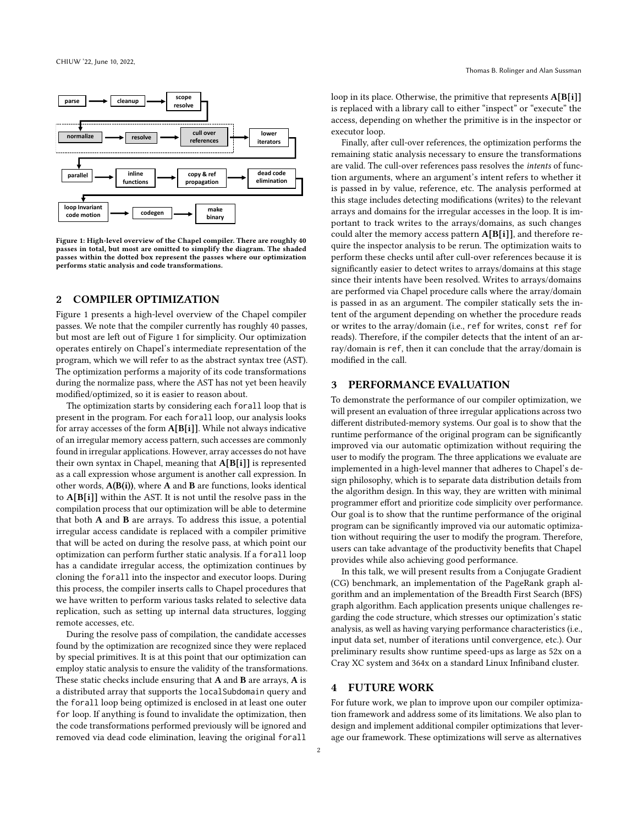<span id="page-1-0"></span>

Figure 1: High-level overview of the Chapel compiler. There are roughly 40 passes in total, but most are omitted to simplify the diagram. The shaded passes within the dotted box represent the passes where our optimization performs static analysis and code transformations.

### 2 COMPILER OPTIMIZATION

Figure [1](#page-1-0) presents a high-level overview of the Chapel compiler passes. We note that the compiler currently has roughly 40 passes, but most are left out of Figure [1](#page-1-0) for simplicity. Our optimization operates entirely on Chapel's intermediate representation of the program, which we will refer to as the abstract syntax tree (AST). The optimization performs a majority of its code transformations during the normalize pass, where the AST has not yet been heavily modified/optimized, so it is easier to reason about.

The optimization starts by considering each forall loop that is present in the program. For each forall loop, our analysis looks for array accesses of the form A[B[i]]. While not always indicative of an irregular memory access pattern, such accesses are commonly found in irregular applications. However, array accesses do not have their own syntax in Chapel, meaning that A[B[i]] is represented as a call expression whose argument is another call expression. In other words,  $A(B(i))$ , where A and B are functions, looks identical to A[B[i]] within the AST. It is not until the resolve pass in the compilation process that our optimization will be able to determine that both A and B are arrays. To address this issue, a potential irregular access candidate is replaced with a compiler primitive that will be acted on during the resolve pass, at which point our optimization can perform further static analysis. If a forall loop has a candidate irregular access, the optimization continues by cloning the forall into the inspector and executor loops. During this process, the compiler inserts calls to Chapel procedures that we have written to perform various tasks related to selective data replication, such as setting up internal data structures, logging remote accesses, etc.

During the resolve pass of compilation, the candidate accesses found by the optimization are recognized since they were replaced by special primitives. It is at this point that our optimization can employ static analysis to ensure the validity of the transformations. These static checks include ensuring that A and B are arrays, A is a distributed array that supports the localSubdomain query and the forall loop being optimized is enclosed in at least one outer for loop. If anything is found to invalidate the optimization, then the code transformations performed previously will be ignored and removed via dead code elimination, leaving the original forall

Finally, after cull-over references, the optimization performs the remaining static analysis necessary to ensure the transformations are valid. The cull-over references pass resolves the intents of function arguments, where an argument's intent refers to whether it is passed in by value, reference, etc. The analysis performed at this stage includes detecting modifications (writes) to the relevant arrays and domains for the irregular accesses in the loop. It is important to track writes to the arrays/domains, as such changes could alter the memory access pattern A[B[i]], and therefore require the inspector analysis to be rerun. The optimization waits to perform these checks until after cull-over references because it is significantly easier to detect writes to arrays/domains at this stage since their intents have been resolved. Writes to arrays/domains are performed via Chapel procedure calls where the array/domain is passed in as an argument. The compiler statically sets the intent of the argument depending on whether the procedure reads or writes to the array/domain (i.e., ref for writes, const ref for reads). Therefore, if the compiler detects that the intent of an array/domain is ref, then it can conclude that the array/domain is modified in the call.

loop in its place. Otherwise, the primitive that represents  $A[B[i]]$ is replaced with a library call to either "inspect" or "execute" the

executor loop.

#### 3 PERFORMANCE EVALUATION

To demonstrate the performance of our compiler optimization, we will present an evaluation of three irregular applications across two different distributed-memory systems. Our goal is to show that the runtime performance of the original program can be significantly improved via our automatic optimization without requiring the user to modify the program. The three applications we evaluate are implemented in a high-level manner that adheres to Chapel's design philosophy, which is to separate data distribution details from the algorithm design. In this way, they are written with minimal programmer effort and prioritize code simplicity over performance. Our goal is to show that the runtime performance of the original program can be significantly improved via our automatic optimization without requiring the user to modify the program. Therefore, users can take advantage of the productivity benefits that Chapel provides while also achieving good performance.

In this talk, we will present results from a Conjugate Gradient (CG) benchmark, an implementation of the PageRank graph algorithm and an implementation of the Breadth First Search (BFS) graph algorithm. Each application presents unique challenges regarding the code structure, which stresses our optimization's static analysis, as well as having varying performance characteristics (i.e., input data set, number of iterations until convergence, etc.). Our preliminary results show runtime speed-ups as large as 52x on a Cray XC system and 364x on a standard Linux Infiniband cluster.

#### 4 FUTURE WORK

For future work, we plan to improve upon our compiler optimization framework and address some of its limitations. We also plan to design and implement additional compiler optimizations that leverage our framework. These optimizations will serve as alternatives